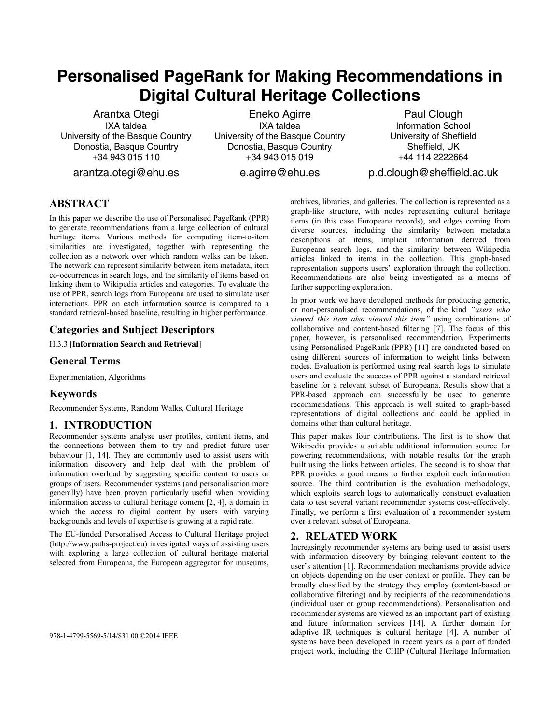# **Personalised PageRank for Making Recommendations in Digital Cultural Heritage Collections**

Arantxa Otegi IXA taldea University of the Basque Country Donostia, Basque Country +34 943 015 110

arantza.otegi@ehu.es

Eneko Agirre IXA taldea University of the Basque Country Donostia, Basque Country +34 943 015 019

Paul Clough Information School University of Sheffield Sheffield, UK +44 114 2222664

e.agirre@ehu.es

p.d.clough@sheffield.ac.uk

# **ABSTRACT**

In this paper we describe the use of Personalised PageRank (PPR) to generate recommendations from a large collection of cultural heritage items. Various methods for computing item-to-item similarities are investigated, together with representing the collection as a network over which random walks can be taken. The network can represent similarity between item metadata, item co-occurrences in search logs, and the similarity of items based on linking them to Wikipedia articles and categories. To evaluate the use of PPR, search logs from Europeana are used to simulate user interactions. PPR on each information source is compared to a standard retrieval-based baseline, resulting in higher performance.

## **Categories and Subject Descriptors**

H.3.3 [**Information Search and Retrieval**]

#### **General Terms**

Experimentation, Algorithms

#### **Keywords**

Recommender Systems, Random Walks, Cultural Heritage

## **1. INTRODUCTION**

Recommender systems analyse user profiles, content items, and the connections between them to try and predict future user behaviour [1, 14]. They are commonly used to assist users with information discovery and help deal with the problem of information overload by suggesting specific content to users or groups of users. Recommender systems (and personalisation more generally) have been proven particularly useful when providing information access to cultural heritage content [2, 4], a domain in which the access to digital content by users with varying backgrounds and levels of expertise is growing at a rapid rate.

The EU-funded Personalised Access to Cultural Heritage project (http://www.paths-project.eu) investigated ways of assisting users with exploring a large collection of cultural heritage material selected from Europeana, the European aggregator for museums,

978-1-4799-5569-5/14/\$31.00 ©2014 IEEE

archives, libraries, and galleries. The collection is represented as a graph-like structure, with nodes representing cultural heritage items (in this case Europeana records), and edges coming from diverse sources, including the similarity between metadata descriptions of items, implicit information derived from Europeana search logs, and the similarity between Wikipedia articles linked to items in the collection. This graph-based representation supports users' exploration through the collection. Recommendations are also being investigated as a means of further supporting exploration.

In prior work we have developed methods for producing generic, or non-personalised recommendations, of the kind *"users who viewed this item also viewed this item"* using combinations of collaborative and content-based filtering [7]. The focus of this paper, however, is personalised recommendation. Experiments using Personalised PageRank (PPR) [11] are conducted based on using different sources of information to weight links between nodes. Evaluation is performed using real search logs to simulate users and evaluate the success of PPR against a standard retrieval baseline for a relevant subset of Europeana. Results show that a PPR-based approach can successfully be used to generate recommendations. This approach is well suited to graph-based representations of digital collections and could be applied in domains other than cultural heritage.

This paper makes four contributions. The first is to show that Wikipedia provides a suitable additional information source for powering recommendations, with notable results for the graph built using the links between articles. The second is to show that PPR provides a good means to further exploit each information source. The third contribution is the evaluation methodology, which exploits search logs to automatically construct evaluation data to test several variant recommender systems cost-effectively. Finally, we perform a first evaluation of a recommender system over a relevant subset of Europeana.

## **2. RELATED WORK**

Increasingly recommender systems are being used to assist users with information discovery by bringing relevant content to the user's attention [1]. Recommendation mechanisms provide advice on objects depending on the user context or profile. They can be broadly classified by the strategy they employ (content-based or collaborative filtering) and by recipients of the recommendations (individual user or group recommendations). Personalisation and recommender systems are viewed as an important part of existing and future information services [14]. A further domain for adaptive IR techniques is cultural heritage [4]. A number of systems have been developed in recent years as a part of funded project work, including the CHIP (Cultural Heritage Information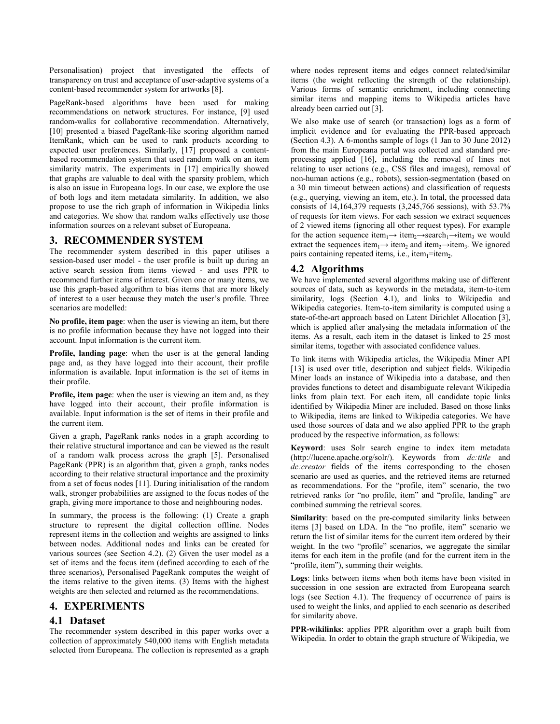Personalisation) project that investigated the effects of transparency on trust and acceptance of user-adaptive systems of a content-based recommender system for artworks [8].

PageRank-based algorithms have been used for making recommendations on network structures. For instance, [9] used random-walks for collaborative recommendation. Alternatively, [10] presented a biased PageRank-like scoring algorithm named ItemRank, which can be used to rank products according to expected user preferences. Similarly, [17] proposed a contentbased recommendation system that used random walk on an item similarity matrix. The experiments in [17] empirically showed that graphs are valuable to deal with the sparsity problem, which is also an issue in Europeana logs. In our case, we explore the use of both logs and item metadata similarity. In addition, we also propose to use the rich graph of information in Wikipedia links and categories. We show that random walks effectively use those information sources on a relevant subset of Europeana.

# **3. RECOMMENDER SYSTEM**

The recommender system described in this paper utilises a session-based user model - the user profile is built up during an active search session from items viewed - and uses PPR to recommend further items of interest. Given one or many items, we use this graph-based algorithm to bias items that are more likely of interest to a user because they match the user's profile. Three scenarios are modelled:

**No profile, item page**: when the user is viewing an item, but there is no profile information because they have not logged into their account. Input information is the current item.

**Profile, landing page**: when the user is at the general landing page and, as they have logged into their account, their profile information is available. Input information is the set of items in their profile.

**Profile, item page**: when the user is viewing an item and, as they have logged into their account, their profile information is available. Input information is the set of items in their profile and the current item.

Given a graph, PageRank ranks nodes in a graph according to their relative structural importance and can be viewed as the result of a random walk process across the graph [5]. Personalised PageRank (PPR) is an algorithm that, given a graph, ranks nodes according to their relative structural importance and the proximity from a set of focus nodes [11]. During initialisation of the random walk, stronger probabilities are assigned to the focus nodes of the graph, giving more importance to those and neighbouring nodes.

In summary, the process is the following: (1) Create a graph structure to represent the digital collection offline. Nodes represent items in the collection and weights are assigned to links between nodes. Additional nodes and links can be created for various sources (see Section 4.2). (2) Given the user model as a set of items and the focus item (defined according to each of the three scenarios), Personalised PageRank computes the weight of the items relative to the given items. (3) Items with the highest weights are then selected and returned as the recommendations.

# **4. EXPERIMENTS**

# **4.1 Dataset**

The recommender system described in this paper works over a collection of approximately 540,000 items with English metadata selected from Europeana. The collection is represented as a graph where nodes represent items and edges connect related/similar items (the weight reflecting the strength of the relationship). Various forms of semantic enrichment, including connecting similar items and mapping items to Wikipedia articles have already been carried out [3].

We also make use of search (or transaction) logs as a form of implicit evidence and for evaluating the PPR-based approach (Section 4.3). A 6-months sample of logs (1 Jan to 30 June 2012) from the main Europeana portal was collected and standard preprocessing applied [16], including the removal of lines not relating to user actions (e.g., CSS files and images), removal of non-human actions (e.g., robots), session-segmentation (based on a 30 min timeout between actions) and classification of requests (e.g., querying, viewing an item, etc.). In total, the processed data consists of 14,164,379 requests (3,245,766 sessions), with 53.7% of requests for item views. For each session we extract sequences of 2 viewed items (ignoring all other request types). For example for the action sequence item<sub>1</sub> $\rightarrow$  item<sub>2</sub> $\rightarrow$ search<sub>1</sub> $\rightarrow$ item<sub>3</sub> we would extract the sequences item<sub>1</sub>→ item<sub>2</sub> and item<sub>2</sub>→item<sub>3</sub>. We ignored pairs containing repeated items, i.e., item $i$ =item $i$ .

# **4.2 Algorithms**

We have implemented several algorithms making use of different sources of data, such as keywords in the metadata, item-to-item similarity, logs (Section 4.1), and links to Wikipedia and Wikipedia categories. Item-to-item similarity is computed using a state-of-the-art approach based on Latent Dirichlet Allocation [3], which is applied after analysing the metadata information of the items. As a result, each item in the dataset is linked to 25 most similar items, together with associated confidence values.

To link items with Wikipedia articles, the Wikipedia Miner API [13] is used over title, description and subject fields. Wikipedia Miner loads an instance of Wikipedia into a database, and then provides functions to detect and disambiguate relevant Wikipedia links from plain text. For each item, all candidate topic links identified by Wikipedia Miner are included. Based on those links to Wikipedia, items are linked to Wikipedia categories. We have used those sources of data and we also applied PPR to the graph produced by the respective information, as follows:

**Keyword**: uses Solr search engine to index item metadata (http://lucene.apache.org/solr/). Keywords from *dc:title* and *dc:creator* fields of the items corresponding to the chosen scenario are used as queries, and the retrieved items are returned as recommendations. For the "profile, item" scenario, the two retrieved ranks for "no profile, item" and "profile, landing" are combined summing the retrieval scores.

**Similarity**: based on the pre-computed similarity links between items [3] based on LDA. In the "no profile, item" scenario we return the list of similar items for the current item ordered by their weight. In the two "profile" scenarios, we aggregate the similar items for each item in the profile (and for the current item in the "profile, item"), summing their weights.

**Logs**: links between items when both items have been visited in succession in one session are extracted from Europeana search logs (see Section 4.1). The frequency of occurrence of pairs is used to weight the links, and applied to each scenario as described for similarity above.

**PPR-wikilinks**: applies PPR algorithm over a graph built from Wikipedia. In order to obtain the graph structure of Wikipedia, we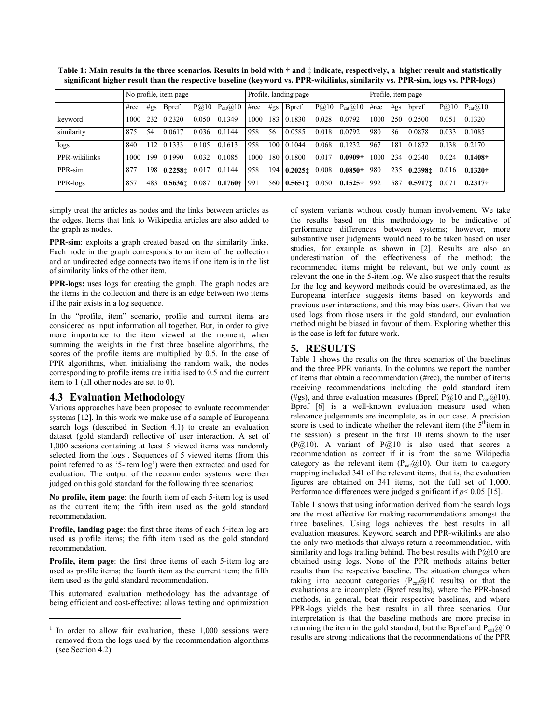|               | No profile, item page |         |               |                          |                              | Profile, landing page |     |               |        |                              | Profile, item page |        |            |        |                               |
|---------------|-----------------------|---------|---------------|--------------------------|------------------------------|-----------------------|-----|---------------|--------|------------------------------|--------------------|--------|------------|--------|-------------------------------|
|               | $\#rec$               | $\#$ gs | <b>B</b> pref | $P(\widehat{\alpha})$ 10 | $P_{cat}(\partial \Omega)10$ | $\#rec$               | #gs | <b>B</b> pref | P(a)10 | $P_{cat}(\partial \Omega)10$ | $\#rec$            | # $gs$ | bpref      | P(a)10 | $P_{cat}(\partial \Omega)$ 10 |
| keyword       | 1000                  | 232     | 0.2320        | 0.050                    | 0.1349                       | 1000                  | 183 | 0.1830        | 0.028  | 0.0792                       | 000                | 250    | 0.2500     | 0.051  | 0.1320                        |
| similarity    | 875                   | 54      | 0.0617        | 0.036                    | 0.1144                       | 958                   | 56  | 0.0585        | 0.018  | 0.0792                       | 980                | 86     | 0.0878     | 0.033  | 0.1085                        |
| logs          | 840                   | 12      | 0.1333        | 0.105                    | 0.1613                       | 958                   | 100 | 0.1044        | 0.068  | 0.1232                       | 967                | 181    | 0.1872     | 0.138  | 0.2170                        |
| PPR-wikilinks | 1000                  | 199     | 0.1990        | 0.032                    | 0.1085                       | 1000                  | 180 | 0.1800        | 0.017  | $0.0909\dagger$              | 1000               | 234    | 0.2340     | 0.024  | $0.1408 +$                    |
| PPR-sim       | 877                   | 198     | 0.22581       | 0.017                    | 0.1144                       | 958                   | 194 | 0.2025        | 0.008  | $0.0850 +$                   | 980                | 235    | 0.23981    | 0.016  | $0.1320 +$                    |
| PPR-logs      | 857                   | 483     | 0.56361       | 0.087                    | $0.1760 +$                   | 991                   | 560 | 0.56511       | 0.050  | $0.1525\dagger$              | 992                | 587    | $0.5917$ : | 0.071  | $0.2317 +$                    |

**Table 1: Main results in the three scenarios. Results in bold with** † **and** ‡ **indicate, respectively, a higher result and statistically significant higher result than the respective baseline (keyword vs. PPR-wikilinks, similarity vs. PPR-sim, logs vs. PPR-logs)** 

simply treat the articles as nodes and the links between articles as the edges. Items that link to Wikipedia articles are also added to the graph as nodes.

**PPR-sim**: exploits a graph created based on the similarity links. Each node in the graph corresponds to an item of the collection and an undirected edge connects two items if one item is in the list of similarity links of the other item.

**PPR-logs:** uses logs for creating the graph. The graph nodes are the items in the collection and there is an edge between two items if the pair exists in a log sequence.

In the "profile, item" scenario, profile and current items are considered as input information all together. But, in order to give more importance to the item viewed at the moment, when summing the weights in the first three baseline algorithms, the scores of the profile items are multiplied by 0.5. In the case of PPR algorithms, when initialising the random walk, the nodes corresponding to profile items are initialised to 0.5 and the current item to 1 (all other nodes are set to 0).

## **4.3 Evaluation Methodology**

 $\overline{a}$ 

Various approaches have been proposed to evaluate recommender systems [12]. In this work we make use of a sample of Europeana search logs (described in Section 4.1) to create an evaluation dataset (gold standard) reflective of user interaction. A set of 1,000 sessions containing at least 5 viewed items was randomly selected from the  $\log s^1$ . Sequences of 5 viewed items (from this point referred to as '5-item log') were then extracted and used for evaluation. The output of the recommender systems were then judged on this gold standard for the following three scenarios:

**No profile, item page**: the fourth item of each 5-item log is used as the current item; the fifth item used as the gold standard recommendation.

**Profile, landing page**: the first three items of each 5-item log are used as profile items; the fifth item used as the gold standard recommendation.

**Profile, item page**: the first three items of each 5-item log are used as profile items; the fourth item as the current item; the fifth item used as the gold standard recommendation.

This automated evaluation methodology has the advantage of being efficient and cost-effective: allows testing and optimization

of system variants without costly human involvement. We take the results based on this methodology to be indicative of performance differences between systems; however, more substantive user judgments would need to be taken based on user studies, for example as shown in [2]. Results are also an underestimation of the effectiveness of the method: the recommended items might be relevant, but we only count as relevant the one in the 5-item log. We also suspect that the results for the log and keyword methods could be overestimated, as the Europeana interface suggests items based on keywords and previous user interactions, and this may bias users. Given that we used logs from those users in the gold standard, our evaluation method might be biased in favour of them. Exploring whether this is the case is left for future work.

# **5. RESULTS**

Table 1 shows the results on the three scenarios of the baselines and the three PPR variants. In the columns we report the number of items that obtain a recommendation (#rec), the number of items receiving recommendations including the gold standard item (#gs), and three evaluation measures (Bpref, P@10 and P<sub>cat</sub>@10). Bpref [6] is a well-known evaluation measure used when relevance judgements are incomplete, as in our case. A precision score is used to indicate whether the relevant item (the  $5<sup>th</sup>$  item in the session) is present in the first 10 items shown to the user  $(P@10)$ . A variant of  $P@10$  is also used that scores a recommendation as correct if it is from the same Wikipedia category as the relevant item ( $P_{cat}(\widehat{\omega}10)$ ). Our item to category mapping included 341 of the relevant items, that is, the evaluation figures are obtained on 341 items, not the full set of 1,000. Performance differences were judged significant if *p*< 0.05 [15].

Table 1 shows that using information derived from the search logs are the most effective for making recommendations amongst the three baselines. Using logs achieves the best results in all evaluation measures. Keyword search and PPR-wikilinks are also the only two methods that always return a recommendation, with similarity and logs trailing behind. The best results with  $P@10$  are obtained using logs. None of the PPR methods attains better results than the respective baseline. The situation changes when taking into account categories ( $P_{cat}$ @10 results) or that the evaluations are incomplete (Bpref results), where the PPR-based methods, in general, beat their respective baselines, and where PPR-logs yields the best results in all three scenarios. Our interpretation is that the baseline methods are more precise in returning the item in the gold standard, but the Bpref and  $P_{cat}(\hat{a})10$ results are strong indications that the recommendations of the PPR

<sup>&</sup>lt;sup>1</sup> In order to allow fair evaluation, these 1,000 sessions were removed from the logs used by the recommendation algorithms (see Section 4.2).